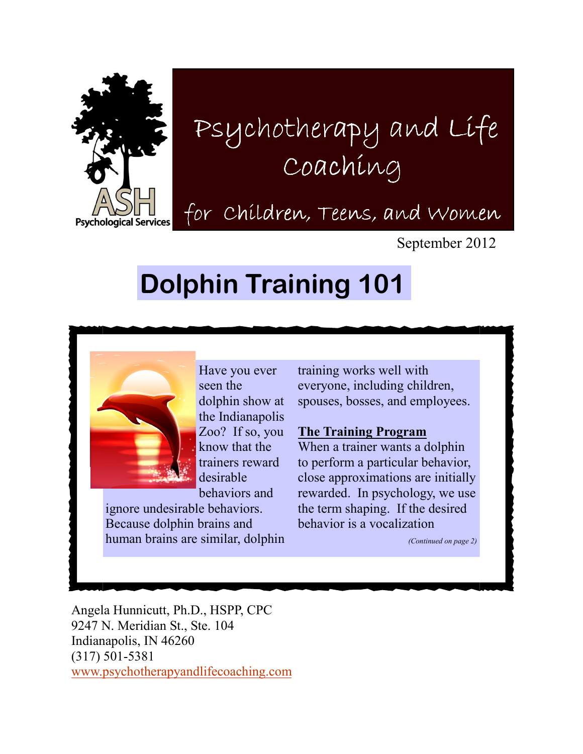

# Psychotherapy and Life Psychotherapy and Life Coaching

for Children, Teens, and Women

September 2012

## Dolphin Training 101



Have you ever seen the dolphin show at the Indianapolis Zoo? If so, you know that the trainers reward desirable behaviors and

ignore undesirable behaviors. Because dolphin brains and human brains are similar, dolphin training works well with everyone, including children, spouses, bosses, and employees.

### The Training Program

When a trainer wants a dolphin to perform a particular behavior, close approximations are initially rewarded. In psychology, we use the term shaping. If the desired behavior is a vocalization

(Continued on page 2)

Angela Hunnicutt, Ph.D., HSPP, CPC 9247 N. Meridian St., Ste. 104 Indianapolis, IN 46260 (317) 501-5381 www.psychotherapyandlifecoaching.com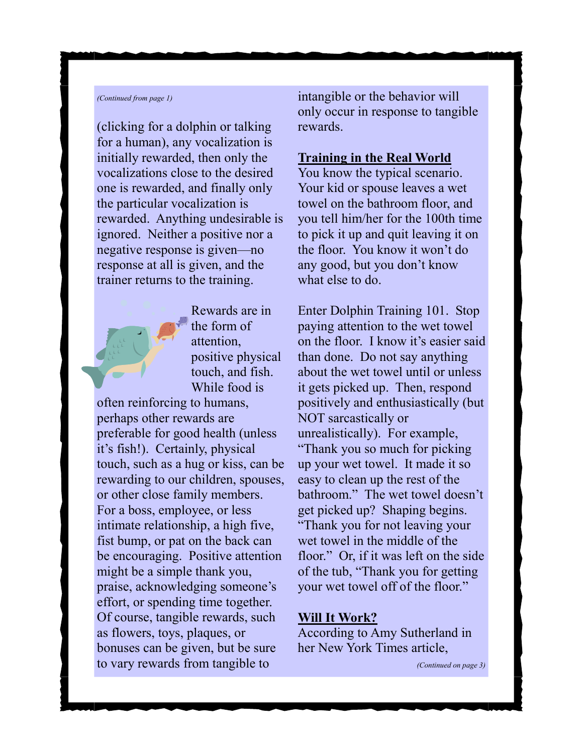#### (Continued from page 1)

(clicking for a dolphin or talking for a human), any vocalization is initially rewarded, then only the vocalizations close to the desired one is rewarded, and finally only the particular vocalization is rewarded. Anything undesirable is ignored. Neither a positive nor a negative response is given—no response at all is given, and the trainer returns to the training.



Rewards are in the form of attention, positive physical touch, and fish. While food is

often reinforcing to humans, perhaps other rewards are preferable for good health (unless it's fish!). Certainly, physical touch, such as a hug or kiss, can be rewarding to our children, spouses, or other close family members. For a boss, employee, or less intimate relationship, a high five, fist bump, or pat on the back can be encouraging. Positive attention might be a simple thank you, praise, acknowledging someone's effort, or spending time together. Of course, tangible rewards, such as flowers, toys, plaques, or bonuses can be given, but be sure to vary rewards from tangible to

intangible or the behavior will only occur in response to tangible rewards.

#### Training in the Real World

You know the typical scenario. Your kid or spouse leaves a wet towel on the bathroom floor, and you tell him/her for the 100th time to pick it up and quit leaving it on the floor. You know it won't do any good, but you don't know what else to do.

Enter Dolphin Training 101. Stop paying attention to the wet towel on the floor. I know it's easier said than done. Do not say anything about the wet towel until or unless it gets picked up. Then, respond positively and enthusiastically (but NOT sarcastically or unrealistically). For example, "Thank you so much for picking up your wet towel. It made it so easy to clean up the rest of the bathroom." The wet towel doesn't get picked up? Shaping begins. "Thank you for not leaving your wet towel in the middle of the floor." Or, if it was left on the side of the tub, "Thank you for getting your wet towel off of the floor."

#### Will It Work?

According to Amy Sutherland in her New York Times article,

(Continued on page 3)